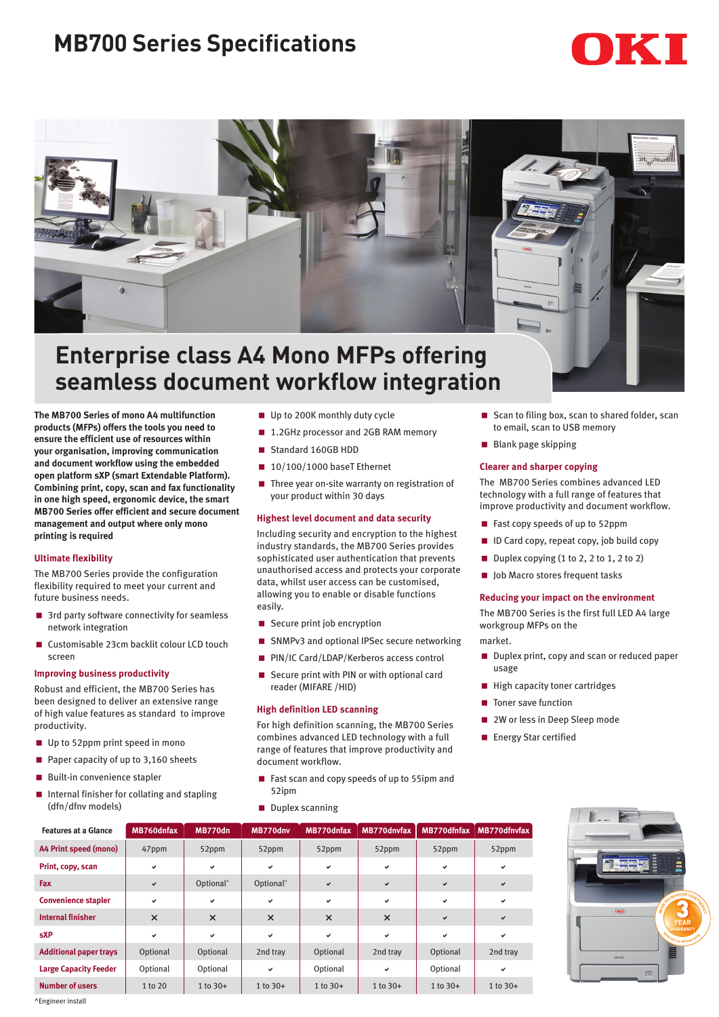# **MB700 Series Specifications**





# **Enterprise class A4 Mono MFPs offering seamless document workflow integration**

**The MB700 Series of mono A4 multifunction products (MFPs) offers the tools you need to ensure the efficient use of resources within your organisation, improving communication and document workflow using the embedded open platform sXP (smart Extendable Platform). Combining print, copy, scan and fax functionality in one high speed, ergonomic device, the smart MB700 Series offer efficient and secure document management and output where only mono printing is required** 

## **Ultimate flexibility**

The MB700 Series provide the configuration flexibility required to meet your current and future business needs.

- 3rd party software connectivity for seamless network integration
- < Customisable 23cm backlit colour LCD touch screen

## **Improving business productivity**

Robust and efficient, the MB700 Series has been designed to deliver an extensive range of high value features as standard to improve productivity.

- Up to 52ppm print speed in mono
- Paper capacity of up to  $3,160$  sheets
- Built-in convenience stapler
- Internal finisher for collating and stapling (dfn/dfnv models)
- Up to 200K monthly duty cycle
- 1.2GHz processor and 2GB RAM memory
- Standard 160GB HDD
- $\blacksquare$  10/100/1000 baseT Ethernet
- $\blacksquare$  Three year on-site warranty on registration of your product within 30 days

#### **Highest level document and data security**

Including security and encryption to the highest industry standards, the MB700 Series provides sophisticated user authentication that prevents unauthorised access and protects your corporate data, whilst user access can be customised, allowing you to enable or disable functions easily.

- Secure print job encryption
- SNMPv3 and optional IPSec secure networking
- PIN/IC Card/LDAP/Kerberos access control
- Secure print with PIN or with optional card reader (MIFARE /HID)

#### **High definition LED scanning**

For high definition scanning, the MB700 Series combines advanced LED technology with a full range of features that improve productivity and document workflow.

- Fast scan and copy speeds of up to 55ipm and 52ipm
- Duplex scanning
- Scan to filing box, scan to shared folder, scan to email, scan to USB memory
- Blank page skipping

# **Clearer and sharper copying**

The MB700 Series combines advanced LED technology with a full range of features that improve productivity and document workflow.

- Fast copy speeds of up to 52ppm
- **ID Card copy, repeat copy, job build copy**
- Duplex copying (1 to 2, 2 to 1, 2 to 2)
- Job Macro stores frequent tasks

#### **Reducing your impact on the environment**

The MB700 Series is the first full LED A4 large workgroup MFPs on the

- market.
- Duplex print, copy and scan or reduced paper usage
- **High capacity toner cartridges**
- Toner save function
- 2W or less in Deep Sleep mode
- Energy Star certified

| <b>Features at a Glance</b>   | MB760dnfax | MB770dn               | MB770dnv              | MB770dnfax   | MB770dnvfax  | MB770dfnfax  | MB770dfnvfax |
|-------------------------------|------------|-----------------------|-----------------------|--------------|--------------|--------------|--------------|
| A4 Print speed (mono)         | 47ppm      | 52ppm                 | 52ppm                 | 52ppm        | 52ppm        | 52ppm        | 52ppm        |
| Print, copy, scan             | v          | $\checkmark$          | $\checkmark$          | v            | $\checkmark$ | $\checkmark$ | v            |
| Fax                           | ✓          | Optional <sup>^</sup> | Optional <sup>^</sup> | ✓            | $\checkmark$ | $\checkmark$ | ✔            |
| <b>Convenience stapler</b>    | v          | $\checkmark$          | v                     | v            | ✓            | v            | v            |
| <b>Internal finisher</b>      | $\times$   | $\times$              | $\times$              | $\times$     | $\times$     | $\checkmark$ | ✔            |
| <b>sXP</b>                    | v          | $\checkmark$          | v                     | v            | $\checkmark$ | $\checkmark$ | v            |
| <b>Additional paper trays</b> | Optional   | Optional              | 2nd tray              | Optional     | 2nd tray     | Optional     | 2nd tray     |
| <b>Large Capacity Feeder</b>  | Optional   | Optional              | $\checkmark$          | Optional     | ✓            | Optional     | v            |
| <b>Number of users</b>        | 1 to 20    | $1 to 30+$            | 1 to $30+$            | $1$ to $30+$ | $1 to 30+$   | $1$ to $30+$ | $1 to 30+$   |



^Engineer install